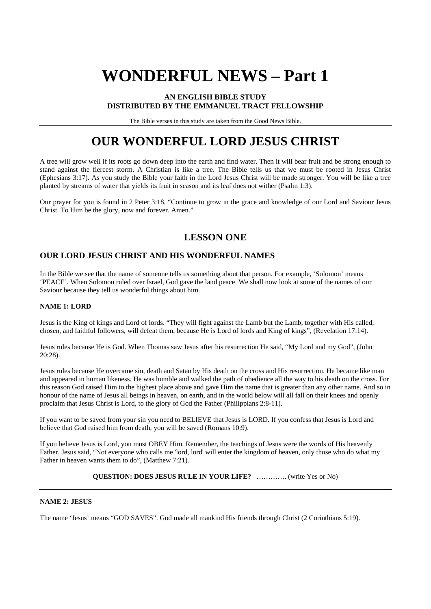# **WONDERFUL NEWS – Part 1**

#### **AN ENGLISH BIBLE STUDY DISTRIBUTED BY THE EMMANUEL TRACT FELLOWSHIP**

The Bible verses in this study are taken from the Good News Bible.

## **OUR WONDERFUL LORD JESUS CHRIST**

A tree will grow well if its roots go down deep into the earth and find water. Then it will bear fruit and be strong enough to stand against the fiercest storm. A Christian is like a tree. The Bible tells us that we must be rooted in Jesus Christ (Ephesians 3:17). As you study the Bible your faith in the Lord Jesus Christ will be made stronger. You will be like a tree planted by streams of water that yields its fruit in season and its leaf does not wither (Psalm 1:3).

Our prayer for you is found in 2 Peter 3:18. "Continue to grow in the grace and knowledge of our Lord and Saviour Jesus Christ. To Him be the glory, now and forever. Amen."

## **LESSON ONE**

### **OUR LORD JESUS CHRIST AND HIS WONDERFUL NAMES**

In the Bible we see that the name of someone tells us something about that person. For example, 'Solomon' means 'PEACE'. When Solomon ruled over Israel, God gave the land peace. We shall now look at some of the names of our Saviour because they tell us wonderful things about him.

#### **NAME 1: LORD**

Jesus is the King of kings and Lord of lords. "They will fight against the Lamb but the Lamb, together with His called, chosen, and faithful followers, will defeat them, because He is Lord of lords and King of kings", (Revelation 17:14).

Jesus rules because He is God. When Thomas saw Jesus after his resurrection He said, "My Lord and my God", (John 20:28).

Jesus rules because He overcame sin, death and Satan by His death on the cross and His resurrection. He became like man and appeared in human likeness. He was humble and walked the path of obedience all the way to his death on the cross. For this reason God raised Him to the highest place above and gave Him the name that is greater than any other name. And so in honour of the name of Jesus all beings in heaven, on earth, and in the world below will all fall on their knees and openly proclaim that Jesus Christ is Lord, to the glory of God the Father (Philippians 2:8-11).

If you want to be saved from your sin you need to BELIEVE that Jesus is LORD. If you confess that Jesus is Lord and believe that God raised him from death, you will be saved (Romans 10:9).

If you believe Jesus is Lord, you must OBEY Him. Remember, the teachings of Jesus were the words of His heavenly Father. Jesus said, "Not everyone who calls me 'lord, lord' will enter the kingdom of heaven, only those who do what my Father in heaven wants them to do", (Matthew 7:21).

#### **QUESTION: DOES JESUS RULE IN YOUR LIFE?** …………. (write Yes or No)

#### **NAME 2: JESUS**

The name 'Jesus' means "GOD SAVES". God made all mankind His friends through Christ (2 Corinthians 5:19).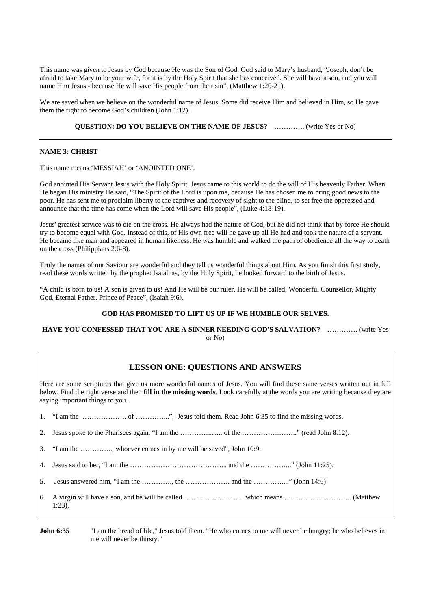This name was given to Jesus by God because He was the Son of God. God said to Mary's husband, "Joseph, don't be afraid to take Mary to be your wife, for it is by the Holy Spirit that she has conceived. She will have a son, and you will name Him Jesus - because He will save His people from their sin", (Matthew 1:20-21).

We are saved when we believe on the wonderful name of Jesus. Some did receive Him and believed in Him, so He gave them the right to become God's children (John 1:12).

**QUESTION: DO YOU BELIEVE ON THE NAME OF JESUS?** …………. (write Yes or No)

#### **NAME 3: CHRIST**

This name means 'MESSIAH' or 'ANOINTED ONE'.

God anointed His Servant Jesus with the Holy Spirit. Jesus came to this world to do the will of His heavenly Father. When He began His ministry He said, "The Spirit of the Lord is upon me, because He has chosen me to bring good news to the poor. He has sent me to proclaim liberty to the captives and recovery of sight to the blind, to set free the oppressed and announce that the time has come when the Lord will save His people", (Luke 4:18-19).

Jesus' greatest service was to die on the cross. He always had the nature of God, but he did not think that by force He should try to become equal with God. Instead of this, of His own free will he gave up all He had and took the nature of a servant. He became like man and appeared in human likeness. He was humble and walked the path of obedience all the way to death on the cross (Philippians 2:6-8).

Truly the names of our Saviour are wonderful and they tell us wonderful things about Him. As you finish this first study, read these words written by the prophet Isaiah as, by the Holy Spirit, he looked forward to the birth of Jesus.

"A child is born to us! A son is given to us! And He will be our ruler. He will be called, Wonderful Counsellor, Mighty God, Eternal Father, Prince of Peace", (Isaiah 9:6).

#### **GOD HAS PROMISED TO LIFT US UP IF WE HUMBLE OUR SELVES.**

**HAVE YOU CONFESSED THAT YOU ARE A SINNER NEEDING GOD'S SALVATION?** …………. (write Yes or No)

#### **LESSON ONE: QUESTIONS AND ANSWERS**

Here are some scriptures that give us more wonderful names of Jesus. You will find these same verses written out in full below. Find the right verse and then **fill in the missing words**. Look carefully at the words you are writing because they are saying important things to you.

| 1. "I am the ", Jesus told them. Read John 6:35 to find the missing words. |  |  |
|----------------------------------------------------------------------------|--|--|
|                                                                            |  |  |
| 3. "I am the , whoever comes in by me will be saved", John 10:9.           |  |  |
|                                                                            |  |  |
|                                                                            |  |  |
| $1:23$ ).                                                                  |  |  |

**John 6:35** "I am the bread of life," Jesus told them. "He who comes to me will never be hungry; he who believes in me will never be thirsty."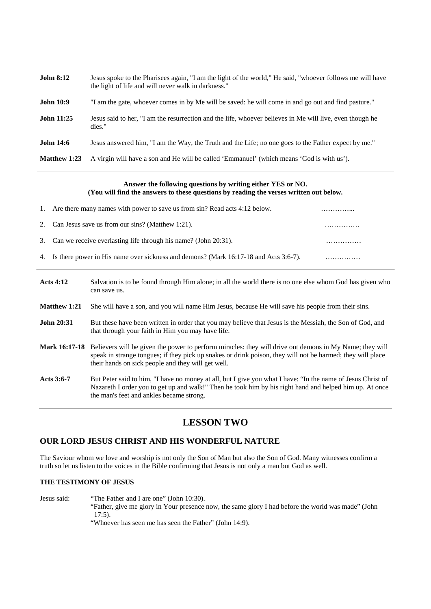| <b>John 8:12</b>  | Jesus spoke to the Pharisees again, "I am the light of the world," He said, "whoever follows me will have<br>the light of life and will never walk in darkness." |
|-------------------|------------------------------------------------------------------------------------------------------------------------------------------------------------------|
| <b>John 10:9</b>  | "I am the gate, whoever comes in by Me will be saved: he will come in and go out and find pasture."                                                              |
| <b>John 11:25</b> | Jesus said to her, "I am the resurrection and the life, whoever believes in Me will live, even though he<br>dies."                                               |
| <b>John 14:6</b>  | Jesus answered him, "I am the Way, the Truth and the Life; no one goes to the Father expect by me."                                                              |
| Matthew 1:23      | A virgin will have a son and He will be called 'Emmanuel' (which means 'God is with us').                                                                        |

#### **Answer the following questions by writing either YES or NO. (You will find the answers to these questions by reading the verses written out below.**

| Ι. | Are there many names with power to save us from sin? Read acts 4:12 below.              |  |
|----|-----------------------------------------------------------------------------------------|--|
| 2. | Can Jesus save us from our sins? (Matthew 1:21).                                        |  |
| 3. | Can we receive everlasting life through his name? (John 20:31).                         |  |
|    | 4. Is there power in His name over sickness and demons? (Mark 16:17-18 and Acts 3:6-7). |  |

- **Acts 4:12** Salvation is to be found through Him alone; in all the world there is no one else whom God has given who can save us.
- **Matthew 1:21** She will have a son, and you will name Him Jesus, because He will save his people from their sins.
- **John 20:31** But these have been written in order that you may believe that Jesus is the Messiah, the Son of God, and that through your faith in Him you may have life.
- **Mark 16:17-18** Believers will be given the power to perform miracles: they will drive out demons in My Name; they will speak in strange tongues; if they pick up snakes or drink poison, they will not be harmed; they will place their hands on sick people and they will get well.
- Acts 3:6-7 But Peter said to him, "I have no money at all, but I give you what I have: "In the name of Jesus Christ of Nazareth I order you to get up and walk!" Then he took him by his right hand and helped him up. At once the man's feet and ankles became strong.

## **LESSON TWO**

#### **OUR LORD JESUS CHRIST AND HIS WONDERFUL NATURE**

The Saviour whom we love and worship is not only the Son of Man but also the Son of God. Many witnesses confirm a truth so let us listen to the voices in the Bible confirming that Jesus is not only a man but God as well.

#### **THE TESTIMONY OF JESUS**

Jesus said: "The Father and I are one" (John 10:30). "Father, give me glory in Your presence now, the same glory I had before the world was made" (John

17:5).

"Whoever has seen me has seen the Father" (John 14:9).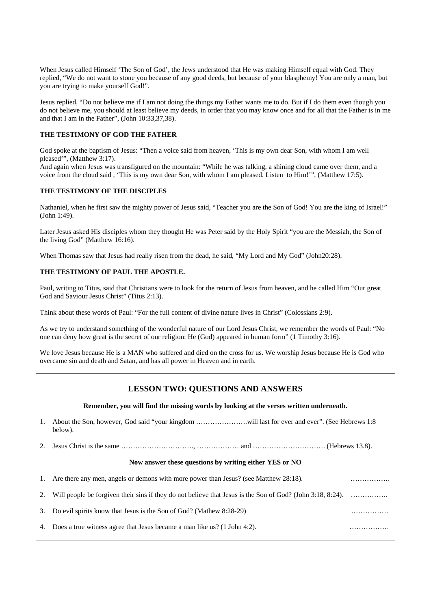When Jesus called Himself 'The Son of God', the Jews understood that He was making Himself equal with God. They replied, "We do not want to stone you because of any good deeds, but because of your blasphemy! You are only a man, but you are trying to make yourself God!".

Jesus replied, "Do not believe me if I am not doing the things my Father wants me to do. But if I do them even though you do not believe me, you should at least believe my deeds, in order that you may know once and for all that the Father is in me and that I am in the Father", (John 10:33,37,38).

#### **THE TESTIMONY OF GOD THE FATHER**

God spoke at the baptism of Jesus: "Then a voice said from heaven, 'This is my own dear Son, with whom I am well pleased'", (Matthew 3:17).

And again when Jesus was transfigured on the mountain: "While he was talking, a shining cloud came over them, and a voice from the cloud said , 'This is my own dear Son, with whom I am pleased. Listen to Him!'", (Matthew 17:5).

#### **THE TESTIMONY OF THE DISCIPLES**

Nathaniel, when he first saw the mighty power of Jesus said, "Teacher you are the Son of God! You are the king of Israel!" (John 1:49).

Later Jesus asked His disciples whom they thought He was Peter said by the Holy Spirit "you are the Messiah, the Son of the living God" (Matthew 16:16).

When Thomas saw that Jesus had really risen from the dead, he said, "My Lord and My God" (John20:28).

#### **THE TESTIMONY OF PAUL THE APOSTLE.**

Paul, writing to Titus, said that Christians were to look for the return of Jesus from heaven, and he called Him "Our great God and Saviour Jesus Christ" (Titus 2:13).

Think about these words of Paul: "For the full content of divine nature lives in Christ" (Colossians 2:9).

As we try to understand something of the wonderful nature of our Lord Jesus Christ, we remember the words of Paul: "No one can deny how great is the secret of our religion: He (God) appeared in human form" (1 Timothy 3:16).

We love Jesus because He is a MAN who suffered and died on the cross for us. We worship Jesus because He is God who overcame sin and death and Satan, and has all power in Heaven and in earth.

#### **LESSON TWO: QUESTIONS AND ANSWERS**

#### **Remember, you will find the missing words by looking at the verses written underneath.**

1. About the Son, however, God said "your kingdom ………………….will last for ever and ever". (See Hebrews 1:8 below).

2. Jesus Christ is the same …………………………., ……………… and …………………………. (Hebrews 13.8).

#### **Now answer these questions by writing either YES or NO**

1. Are there any men, angels or demons with more power than Jesus? (see Matthew 28:18). …………………………… 2. Will people be forgiven their sins if they do not believe that Jesus is the Son of God? (John 3:18, 8:24). ……………. 3. Do evil spirits know that Jesus is the Son of God? (Mathew 8:28-29) …………….

4. Does a true witness agree that Jesus became a man like us? (1 John 4:2). ……………..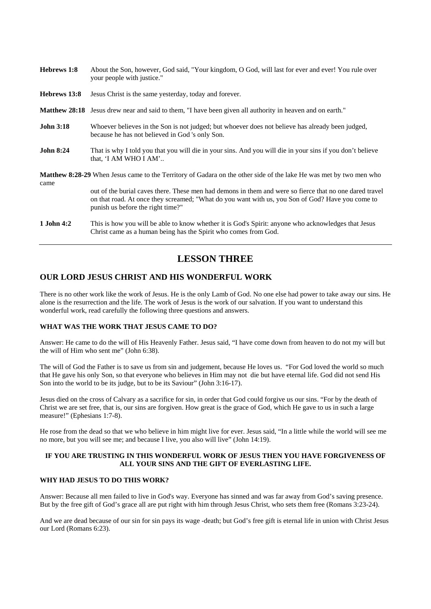| Hebrews 1:8      | About the Son, however, God said, "Your kingdom, O God, will last for ever and ever! You rule over<br>your people with justice."                                                                                                                 |  |
|------------------|--------------------------------------------------------------------------------------------------------------------------------------------------------------------------------------------------------------------------------------------------|--|
| Hebrews 13:8     | Jesus Christ is the same yesterday, today and forever.                                                                                                                                                                                           |  |
|                  | <b>Matthew 28:18</b> Jesus drew near and said to them, "I have been given all authority in heaven and on earth."                                                                                                                                 |  |
| <b>John 3:18</b> | Whoever believes in the Son is not judged; but whoever does not believe has already been judged,<br>because he has not believed in God 's only Son.                                                                                              |  |
| <b>John 8:24</b> | That is why I told you that you will die in your sins. And you will die in your sins if you don't believe<br>that, 'I AM WHO I AM'                                                                                                               |  |
| came             | <b>Matthew 8:28-29</b> When Jesus came to the Territory of Gadara on the other side of the lake He was met by two men who                                                                                                                        |  |
|                  | out of the burial caves there. These men had demons in them and were so fierce that no one dared travel<br>on that road. At once they screamed; "What do you want with us, you Son of God? Have you come to<br>punish us before the right time?" |  |
| 1 John 4:2       | This is how you will be able to know whether it is God's Spirit: anyone who acknowledges that Jesus<br>Christ came as a human being has the Spirit who comes from God.                                                                           |  |

## **LESSON THREE**

#### **OUR LORD JESUS CHRIST AND HIS WONDERFUL WORK**

There is no other work like the work of Jesus. He is the only Lamb of God. No one else had power to take away our sins. He alone is the resurrection and the life. The work of Jesus is the work of our salvation. If you want to understand this wonderful work, read carefully the following three questions and answers.

#### **WHAT WAS THE WORK THAT JESUS CAME TO DO?**

Answer: He came to do the will of His Heavenly Father. Jesus said, "I have come down from heaven to do not my will but the will of Him who sent me" (John 6:38).

The will of God the Father is to save us from sin and judgement, because He loves us. "For God loved the world so much that He gave his only Son, so that everyone who believes in Him may not die but have eternal life. God did not send His Son into the world to be its judge, but to be its Saviour" (John 3:16-17).

Jesus died on the cross of Calvary as a sacrifice for sin, in order that God could forgive us our sins. "For by the death of Christ we are set free, that is, our sins are forgiven. How great is the grace of God, which He gave to us in such a large measure!" (Ephesians 1:7-8).

He rose from the dead so that we who believe in him might live for ever. Jesus said, "In a little while the world will see me no more, but you will see me; and because I live, you also will live" (John 14:19).

#### **IF YOU ARE TRUSTING IN THIS WONDERFUL WORK OF JESUS THEN YOU HAVE FORGIVENESS OF ALL YOUR SINS AND THE GIFT OF EVERLASTING LIFE.**

#### **WHY HAD JESUS TO DO THIS WORK?**

Answer: Because all men failed to live in God's way. Everyone has sinned and was far away from God's saving presence. But by the free gift of God's grace all are put right with him through Jesus Christ, who sets them free (Romans 3:23-24).

And we are dead because of our sin for sin pays its wage -death; but God's free gift is eternal life in union with Christ Jesus our Lord (Romans 6:23).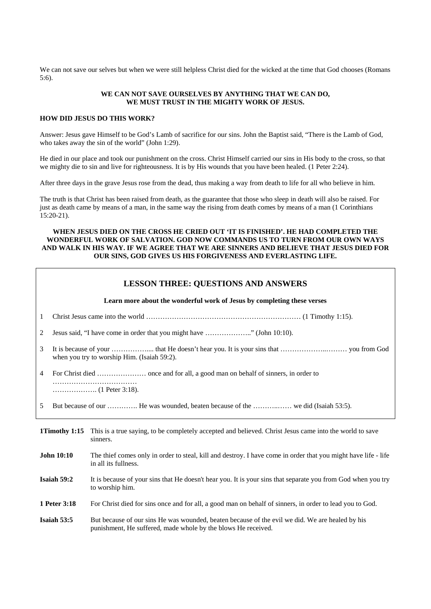We can not save our selves but when we were still helpless Christ died for the wicked at the time that God chooses (Romans 5:6).

#### **WE CAN NOT SAVE OURSELVES BY ANYTHING THAT WE CAN DO, WE MUST TRUST IN THE MIGHTY WORK OF JESUS.**

#### **HOW DID JESUS DO THIS WORK?**

Answer: Jesus gave Himself to be God's Lamb of sacrifice for our sins. John the Baptist said, "There is the Lamb of God, who takes away the sin of the world" (John 1:29).

He died in our place and took our punishment on the cross. Christ Himself carried our sins in His body to the cross, so that we mighty die to sin and live for righteousness. It is by His wounds that you have been healed. (1 Peter 2:24).

After three days in the grave Jesus rose from the dead, thus making a way from death to life for all who believe in him.

The truth is that Christ has been raised from death, as the guarantee that those who sleep in death will also be raised. For just as death came by means of a man, in the same way the rising from death comes by means of a man (1 Corinthians 15:20-21).

#### **WHEN JESUS DIED ON THE CROSS HE CRIED OUT 'IT IS FINISHED'. HE HAD COMPLETED THE WONDERFUL WORK OF SALVATION. GOD NOW COMMANDS US TO TURN FROM OUR OWN WAYS AND WALK IN HIS WAY. IF WE AGREE THAT WE ARE SINNERS AND BELIEVE THAT JESUS DIED FOR OUR SINS, GOD GIVES US HIS FORGIVENESS AND EVERLASTING LIFE.**

|                   | <b>LESSON THREE: QUESTIONS AND ANSWERS</b>                              |                                                                                                                                                                  |  |  |  |  |  |  |
|-------------------|-------------------------------------------------------------------------|------------------------------------------------------------------------------------------------------------------------------------------------------------------|--|--|--|--|--|--|
|                   | Learn more about the wonderful work of Jesus by completing these verses |                                                                                                                                                                  |  |  |  |  |  |  |
| 1                 |                                                                         |                                                                                                                                                                  |  |  |  |  |  |  |
| 2                 | Jesus said, "I have come in order that you might have " (John 10:10).   |                                                                                                                                                                  |  |  |  |  |  |  |
| 3                 |                                                                         | when you try to worship Him. (Isaiah 59:2).                                                                                                                      |  |  |  |  |  |  |
| $\overline{4}$    |                                                                         |                                                                                                                                                                  |  |  |  |  |  |  |
| 5                 |                                                                         | But because of our  He was wounded, beaten because of the  we did (Isaiah 53:5).                                                                                 |  |  |  |  |  |  |
| 1Timothy 1:15     |                                                                         | This is a true saying, to be completely accepted and believed. Christ Jesus came into the world to save<br>sinners.                                              |  |  |  |  |  |  |
| <b>John 10:10</b> |                                                                         | The thief comes only in order to steal, kill and destroy. I have come in order that you might have life - life<br>in all its fullness.                           |  |  |  |  |  |  |
| Isaiah 59:2       |                                                                         | It is because of your sins that He doesn't hear you. It is your sins that separate you from God when you try<br>to worship him.                                  |  |  |  |  |  |  |
| 1 Peter 3:18      |                                                                         | For Christ died for sins once and for all, a good man on behalf of sinners, in order to lead you to God.                                                         |  |  |  |  |  |  |
| Isaiah 53:5       |                                                                         | But because of our sins He was wounded, beaten because of the evil we did. We are healed by his<br>punishment, He suffered, made whole by the blows He received. |  |  |  |  |  |  |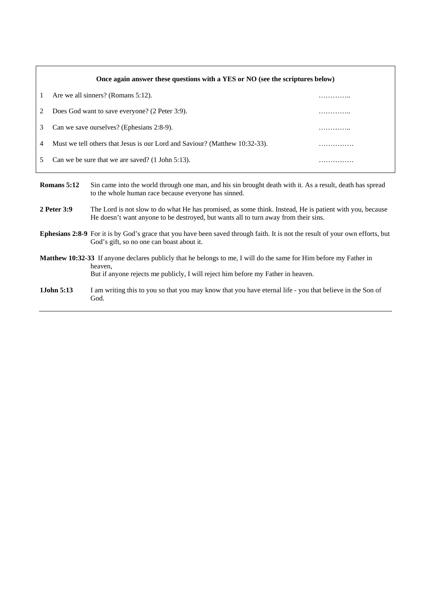|              | Once again answer these questions with a YES or NO (see the scriptures below) |                                                                                                                                                                   |   |  |  |
|--------------|-------------------------------------------------------------------------------|-------------------------------------------------------------------------------------------------------------------------------------------------------------------|---|--|--|
| $\mathbf{1}$ |                                                                               | Are we all sinners? (Romans 5:12).                                                                                                                                | . |  |  |
| 2            | Does God want to save everyone? (2 Peter 3:9).                                |                                                                                                                                                                   |   |  |  |
| 3            | Can we save ourselves? (Ephesians 2:8-9).                                     |                                                                                                                                                                   |   |  |  |
| 4            | Must we tell others that Jesus is our Lord and Saviour? (Matthew 10:32-33).   |                                                                                                                                                                   |   |  |  |
| 5            | Can we be sure that we are saved? (1 John 5:13).                              |                                                                                                                                                                   |   |  |  |
| Romans 5:12  |                                                                               | Sin came into the world through one man, and his sin brought death with it. As a result, death has spread<br>to the whole human race because everyone has sinned. |   |  |  |
| 2 Peter 3:9  |                                                                               | The Lord is not slow to do what He has promised as some think Instead. He is patient with you because                                                             |   |  |  |

- not slow to do what He has promised, as some think. Instead, He is patient with you, because He doesn't want anyone to be destroyed, but wants all to turn away from their sins.
- **Ephesians 2:8-9** For it is by God's grace that you have been saved through faith. It is not the result of your own efforts, but God's gift, so no one can boast about it.
- **Matthew 10:32-33** If anyone declares publicly that he belongs to me, I will do the same for Him before my Father in heaven, But if anyone rejects me publicly, I will reject him before my Father in heaven.
- **1John 5:13** I am writing this to you so that you may know that you have eternal life you that believe in the Son of God.